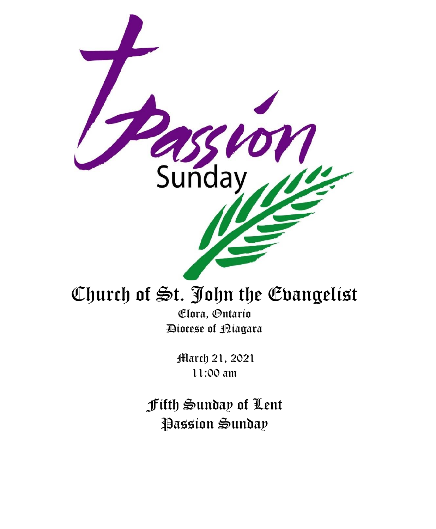

# Church of St. John the Evangelist

Elora, Ontario Diocese of Niagara

March 21, 2021 11:00 am

Fifth Sunday of Lent Passion Sunday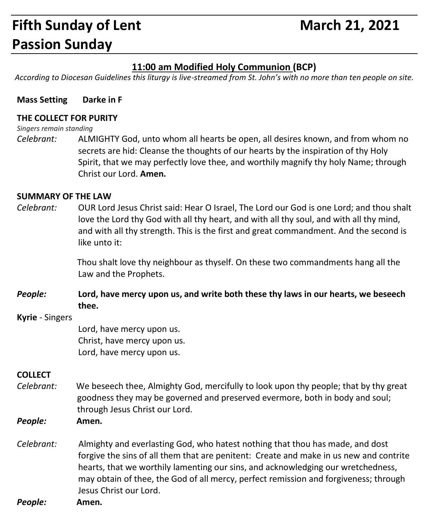## **Fifth Sunday of Lent** March 21, 2021 **Passion Sunday**

#### **11:00 am Modified Holy Communion (BCP)**

*According to Diocesan Guidelines this liturgy is live-streamed from St. John's with no more than ten people on site.*

#### **Mass Setting Darke in F**

#### **THE COLLECT FOR PURITY**

*Singers remain standing*

*Celebrant:* ALMIGHTY God, unto whom all hearts be open, all desires known, and from whom no secrets are hid: Cleanse the thoughts of our hearts by the inspiration of thy Holy Spirit, that we may perfectly love thee, and worthily magnify thy holy Name; through Christ our Lord. **Amen.**

#### **SUMMARY OF THE LAW**

*Celebrant:* OUR Lord Jesus Christ said: Hear O Israel, The Lord our God is one Lord; and thou shalt love the Lord thy God with all thy heart, and with all thy soul, and with all thy mind, and with all thy strength. This is the first and great commandment. And the second is like unto it:

> Thou shalt love thy neighbour as thyself. On these two commandments hang all the Law and the Prophets.

*People:* **Lord, have mercy upon us, and write both these thy laws in our hearts, we beseech thee.**

#### **Kyrie** - Singers

Lord, have mercy upon us. Christ, have mercy upon us. Lord, have mercy upon us.

#### **COLLECT**

- *Celebrant:* We beseech thee, Almighty God, mercifully to look upon thy people; that by thy great goodness they may be governed and preserved evermore, both in body and soul; through Jesus Christ our Lord.
- *People:* **Amen.**
- *Celebrant:* Almighty and everlasting God, who hatest nothing that thou has made, and dost forgive the sins of all them that are penitent: Create and make in us new and contrite hearts, that we worthily lamenting our sins, and acknowledging our wretchedness, may obtain of thee, the God of all mercy, perfect remission and forgiveness; through Jesus Christ our Lord.

*People:* **Amen.**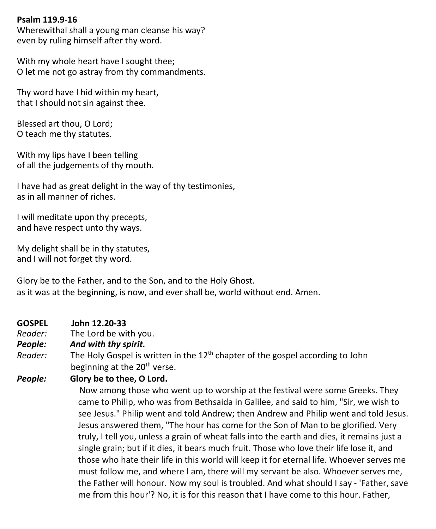#### **Psalm 119.9-16**

Wherewithal shall a young man cleanse his way? even by ruling himself after thy word.

With my whole heart have I sought thee; O let me not go astray from thy commandments.

Thy word have I hid within my heart, that I should not sin against thee.

Blessed art thou, O Lord; O teach me thy statutes.

With my lips have I been telling of all the judgements of thy mouth.

I have had as great delight in the way of thy testimonies, as in all manner of riches.

I will meditate upon thy precepts, and have respect unto thy ways.

My delight shall be in thy statutes, and I will not forget thy word.

Glory be to the Father, and to the Son, and to the Holy Ghost. as it was at the beginning, is now, and ever shall be, world without end. Amen.

#### **GOSPEL John 12.20-33**

*Reader:* The Lord be with you.<br>**People: And with thy spirit.** 

#### And with thy spirit.

*Reader:* The Holy Gospel is written in the 12<sup>th</sup> chapter of the gospel according to John beginning at the 20<sup>th</sup> verse.

#### *People:* **Glory be to thee, O Lord.**

 Now among those who went up to worship at the festival were some Greeks. They came to Philip, who was from Bethsaida in Galilee, and said to him, "Sir, we wish to see Jesus." Philip went and told Andrew; then Andrew and Philip went and told Jesus. Jesus answered them, "The hour has come for the Son of Man to be glorified. Very truly, I tell you, unless a grain of wheat falls into the earth and dies, it remains just a single grain; but if it dies, it bears much fruit. Those who love their life lose it, and those who hate their life in this world will keep it for eternal life. Whoever serves me must follow me, and where I am, there will my servant be also. Whoever serves me, the Father will honour. Now my soul is troubled. And what should I say - 'Father, save me from this hour'? No, it is for this reason that I have come to this hour. Father,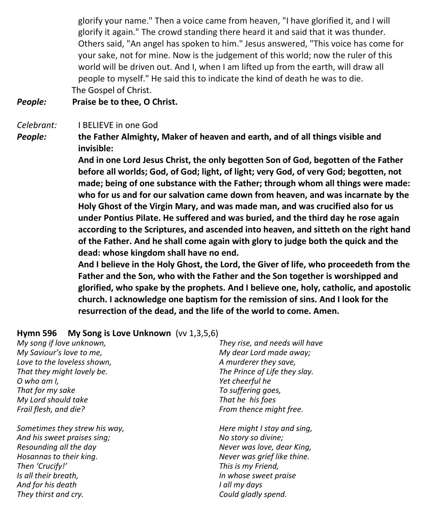glorify your name." Then a voice came from heaven, "I have glorified it, and I will glorify it again." The crowd standing there heard it and said that it was thunder. Others said, "An angel has spoken to him." Jesus answered, "This voice has come for your sake, not for mine. Now is the judgement of this world; now the ruler of this world will be driven out. And I, when I am lifted up from the earth, will draw all people to myself." He said this to indicate the kind of death he was to die. The Gospel of Christ.

#### *People:* **Praise be to thee, O Christ.**

*Celebrant:* I BELIEVE in one God

*People:* **the Father Almighty, Maker of heaven and earth, and of all things visible and invisible:**

> **And in one Lord Jesus Christ, the only begotten Son of God, begotten of the Father before all worlds; God, of God; light, of light; very God, of very God; begotten, not made; being of one substance with the Father; through whom all things were made: who for us and for our salvation came down from heaven, and was incarnate by the Holy Ghost of the Virgin Mary, and was made man, and was crucified also for us under Pontius Pilate. He suffered and was buried, and the third day he rose again according to the Scriptures, and ascended into heaven, and sitteth on the right hand of the Father. And he shall come again with glory to judge both the quick and the dead: whose kingdom shall have no end.**

> **And I believe in the Holy Ghost, the Lord, the Giver of life, who proceedeth from the Father and the Son, who with the Father and the Son together is worshipped and glorified, who spake by the prophets. And I believe one, holy, catholic, and apostolic church. I acknowledge one baptism for the remission of sins. And I look for the resurrection of the dead, and the life of the world to come. Amen.**

#### **Hymn 596 My Song is Love Unknown** (vv 1,3,5,6)

*My song if love unknown, My Saviour's love to me, Love to the loveless shown, That they might lovely be. O who am I, That for my sake My Lord should take Frail flesh, and die?*

*Sometimes they strew his way, And his sweet praises sing; Resounding all the day Hosannas to their king. Then 'Crucify!' Is all their breath, And for his death They thirst and cry.*

*They rise, and needs will have My dear Lord made away; A murderer they save, The Prince of Life they slay. Yet cheerful he To suffering goes, That he his foes From thence might free.*

*Here might I stay and sing, No story so divine; Never was love, dear King, Never was grief like thine. This is my Friend, In whose sweet praise I all my days Could gladly spend.*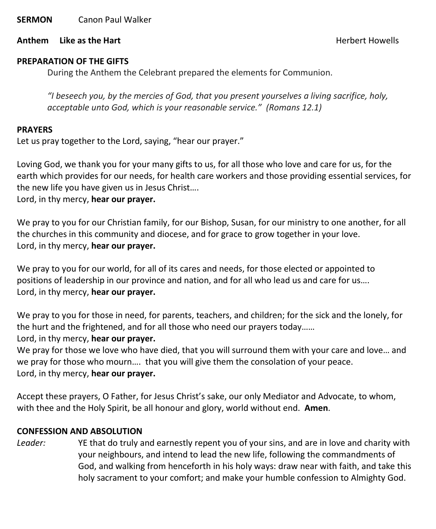**SERMON** Canon Paul Walker

**Anthem Like as the Hart Anthem Like as the Hart** 

#### **PREPARATION OF THE GIFTS**

During the Anthem the Celebrant prepared the elements for Communion.

*"I beseech you, by the mercies of God, that you present yourselves a living sacrifice, holy, acceptable unto God, which is your reasonable service." (Romans 12.1)*

#### **PRAYERS**

Let us pray together to the Lord, saying, "hear our prayer."

Loving God, we thank you for your many gifts to us, for all those who love and care for us, for the earth which provides for our needs, for health care workers and those providing essential services, for the new life you have given us in Jesus Christ….

Lord, in thy mercy, **hear our prayer.**

We pray to you for our Christian family, for our Bishop, Susan, for our ministry to one another, for all the churches in this community and diocese, and for grace to grow together in your love. Lord, in thy mercy, **hear our prayer.**

We pray to you for our world, for all of its cares and needs, for those elected or appointed to positions of leadership in our province and nation, and for all who lead us and care for us…. Lord, in thy mercy, **hear our prayer.**

We pray to you for those in need, for parents, teachers, and children; for the sick and the lonely, for the hurt and the frightened, and for all those who need our prayers today…… Lord, in thy mercy, **hear our prayer.**

We pray for those we love who have died, that you will surround them with your care and love… and we pray for those who mourn…. that you will give them the consolation of your peace. Lord, in thy mercy, **hear our prayer.**

Accept these prayers, O Father, for Jesus Christ's sake, our only Mediator and Advocate, to whom, with thee and the Holy Spirit, be all honour and glory, world without end. **Amen**.

#### **CONFESSION AND ABSOLUTION**

*Leader:* YE that do truly and earnestly repent you of your sins, and are in love and charity with your neighbours, and intend to lead the new life, following the commandments of God, and walking from henceforth in his holy ways: draw near with faith, and take this holy sacrament to your comfort; and make your humble confession to Almighty God.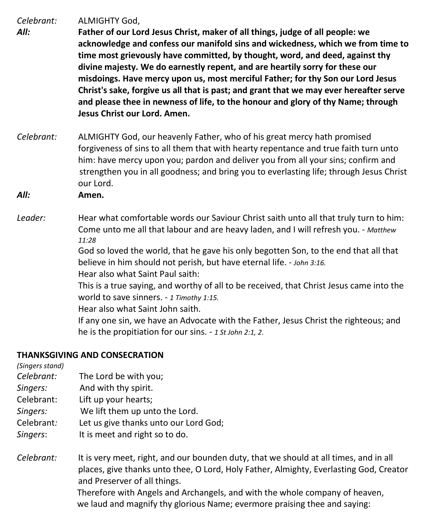*Celebrant:* ALMIGHTY God,

- *All:* **Father of our Lord Jesus Christ, maker of all things, judge of all people: we acknowledge and confess our manifold sins and wickedness, which we from time to time most grievously have committed, by thought, word, and deed, against thy divine majesty. We do earnestly repent, and are heartily sorry for these our misdoings. Have mercy upon us, most merciful Father; for thy Son our Lord Jesus Christ's sake, forgive us all that is past; and grant that we may ever hereafter serve and please thee in newness of life, to the honour and glory of thy Name; through Jesus Christ our Lord. Amen.**
- *Celebrant:* ALMIGHTY God, our heavenly Father, who of his great mercy hath promised forgiveness of sins to all them that with hearty repentance and true faith turn unto him: have mercy upon you; pardon and deliver you from all your sins; confirm and strengthen you in all goodness; and bring you to everlasting life; through Jesus Christ our Lord.
- *All:* **Amen.**
- *Leader:* Hear what comfortable words our Saviour Christ saith unto all that truly turn to him: Come unto me all that labour and are heavy laden, and I will refresh you. - *Matthew 11:28*

God so loved the world, that he gave his only begotten Son, to the end that all that believe in him should not perish, but have eternal life. - *John 3:16.*

Hear also what Saint Paul saith:

This is a true saying, and worthy of all to be received, that Christ Jesus came into the world to save sinners. - *1 Timothy 1:15.*

Hear also what Saint John saith.

If any one sin, we have an Advocate with the Father, Jesus Christ the righteous; and he is the propitiation for our sins. - *1 St John 2:1, 2*.

#### **THANKSGIVING AND CONSECRATION**

*(Singers stand)*

- *Celebrant:* The Lord be with you;
- *Singers:* And with thy spirit.
- Celebrant: Lift up your hearts;
- *Singers:* We lift them up unto the Lord.
- Celebrant*:* Let us give thanks unto our Lord God;
- *Singers*: It is meet and right so to do.
- *Celebrant:* It is very meet, right, and our bounden duty, that we should at all times, and in all places, give thanks unto thee, O Lord, Holy Father, Almighty, Everlasting God, Creator and Preserver of all things. Therefore with Angels and Archangels, and with the whole company of heaven,

we laud and magnify thy glorious Name; evermore praising thee and saying: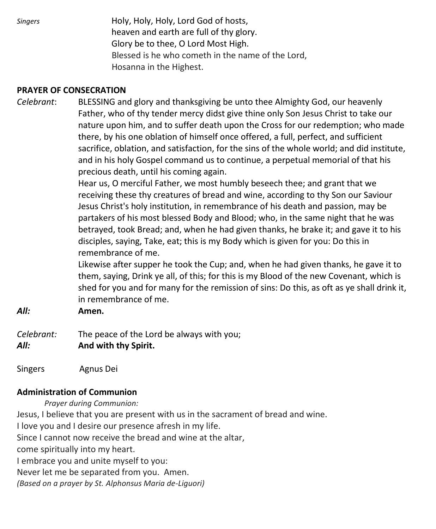*Singers* Holy, Holy, Holy, Lord God of hosts, heaven and earth are full of thy glory. Glory be to thee, O Lord Most High. Blessed is he who cometh in the name of the Lord, Hosanna in the Highest.

#### **PRAYER OF CONSECRATION**

*Celebrant*: BLESSING and glory and thanksgiving be unto thee Almighty God, our heavenly Father, who of thy tender mercy didst give thine only Son Jesus Christ to take our nature upon him, and to suffer death upon the Cross for our redemption; who made there, by his one oblation of himself once offered, a full, perfect, and sufficient sacrifice, oblation, and satisfaction, for the sins of the whole world; and did institute, and in his holy Gospel command us to continue, a perpetual memorial of that his precious death, until his coming again.

> Hear us, O merciful Father, we most humbly beseech thee; and grant that we receiving these thy creatures of bread and wine, according to thy Son our Saviour Jesus Christ's holy institution, in remembrance of his death and passion, may be partakers of his most blessed Body and Blood; who, in the same night that he was betrayed, took Bread; and, when he had given thanks, he brake it; and gave it to his disciples, saying, Take, eat; this is my Body which is given for you: Do this in remembrance of me.

Likewise after supper he took the Cup; and, when he had given thanks, he gave it to them, saying, Drink ye all, of this; for this is my Blood of the new Covenant, which is shed for you and for many for the remission of sins: Do this, as oft as ye shall drink it, in remembrance of me.

- *All:* **Amen.**
- *Celebrant:* The peace of the Lord be always with you; *All:* **And with thy Spirit.**
- Singers Agnus Dei

#### **Administration of Communion**

 *Prayer during Communion:*

Jesus, I believe that you are present with us in the sacrament of bread and wine.

I love you and I desire our presence afresh in my life.

Since I cannot now receive the bread and wine at the altar,

come spiritually into my heart.

I embrace you and unite myself to you:

Never let me be separated from you. Amen.

*(Based on a prayer by St. Alphonsus Maria de-Liguori)*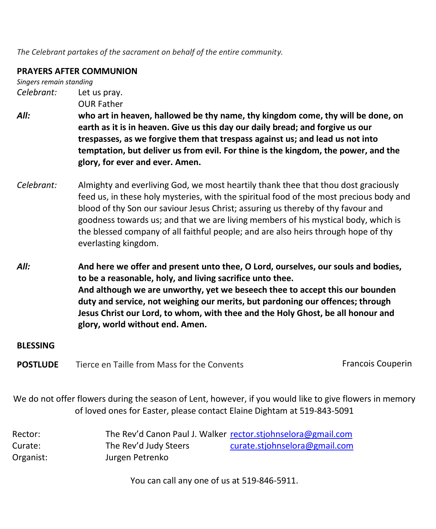*The Celebrant partakes of the sacrament on behalf of the entire community.*

#### **PRAYERS AFTER COMMUNION**

*Singers remain standing Celebrant:* Let us pray.

OUR Father

- *All:* **who art in heaven, hallowed be thy name, thy kingdom come, thy will be done, on earth as it is in heaven. Give us this day our daily bread; and forgive us our trespasses, as we forgive them that trespass against us; and lead us not into temptation, but deliver us from evil. For thine is the kingdom, the power, and the glory, for ever and ever. Amen.**
- *Celebrant:* Almighty and everliving God, we most heartily thank thee that thou dost graciously feed us, in these holy mysteries, with the spiritual food of the most precious body and blood of thy Son our saviour Jesus Christ; assuring us thereby of thy favour and goodness towards us; and that we are living members of his mystical body, which is the blessed company of all faithful people; and are also heirs through hope of thy everlasting kingdom.
- *All:* **And here we offer and present unto thee, O Lord, ourselves, our souls and bodies, to be a reasonable, holy, and living sacrifice unto thee. And although we are unworthy, yet we beseech thee to accept this our bounden duty and service, not weighing our merits, but pardoning our offences; through Jesus Christ our Lord, to whom, with thee and the Holy Ghost, be all honour and glory, world without end. Amen.**

#### **BLESSING**

**POSTLUDE** Tierce en Taille from Mass for the Convents Francois Couperin

We do not offer flowers during the season of Lent, however, if you would like to give flowers in memory of loved ones for Easter, please contact Elaine Dightam at 519-843-5091

| Rector:   |                       | The Rev'd Canon Paul J. Walker rector.stjohnselora@gmail.com |
|-----------|-----------------------|--------------------------------------------------------------|
| Curate:   | The Rev'd Judy Steers | curate.stjohnselora@gmail.com                                |
| Organist: | Jurgen Petrenko       |                                                              |

You can call any one of us at 519-846-5911.